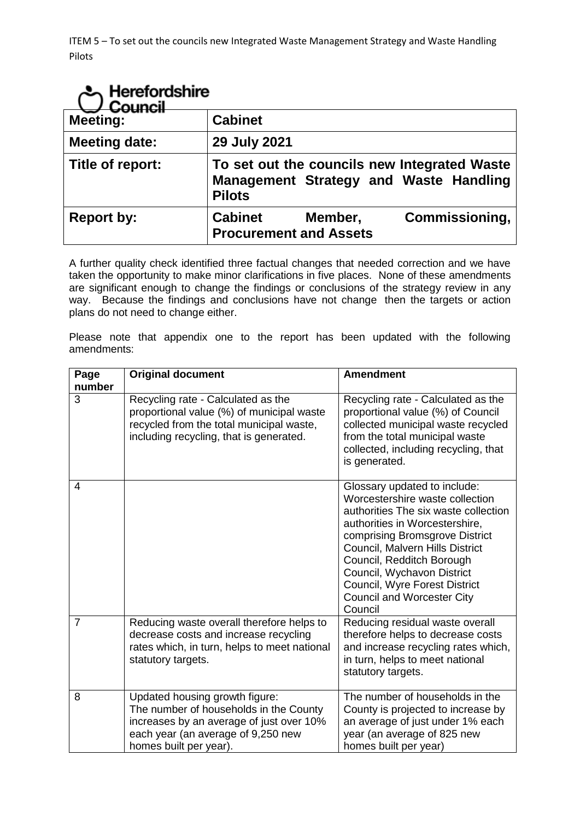ITEM 5 – To set out the councils new Integrated Waste Management Strategy and Waste Handling Pilots

| Herefordshire<br>Council |                                                                                                         |  |  |
|--------------------------|---------------------------------------------------------------------------------------------------------|--|--|
| <b>Meeting:</b>          | <b>Cabinet</b>                                                                                          |  |  |
| <b>Meeting date:</b>     | 29 July 2021                                                                                            |  |  |
| Title of report:         | To set out the councils new Integrated Waste<br>Management Strategy and Waste Handling<br><b>Pilots</b> |  |  |
| <b>Report by:</b>        | <b>Cabinet</b><br>Commissioning,<br>Member,<br><b>Procurement and Assets</b>                            |  |  |

A further quality check identified three factual changes that needed correction and we have taken the opportunity to make minor clarifications in five places. None of these amendments are significant enough to change the findings or conclusions of the strategy review in any way. Because the findings and conclusions have not change then the targets or action plans do not need to change either.

Please note that appendix one to the report has been updated with the following amendments:

| Page           | <b>Original document</b>                                                                                                                                                             | <b>Amendment</b>                                                                                                                                                                                                                                                                                                                                           |
|----------------|--------------------------------------------------------------------------------------------------------------------------------------------------------------------------------------|------------------------------------------------------------------------------------------------------------------------------------------------------------------------------------------------------------------------------------------------------------------------------------------------------------------------------------------------------------|
| number         |                                                                                                                                                                                      |                                                                                                                                                                                                                                                                                                                                                            |
| 3              | Recycling rate - Calculated as the<br>proportional value (%) of municipal waste<br>recycled from the total municipal waste,<br>including recycling, that is generated.               | Recycling rate - Calculated as the<br>proportional value (%) of Council<br>collected municipal waste recycled<br>from the total municipal waste<br>collected, including recycling, that<br>is generated.                                                                                                                                                   |
| 4              |                                                                                                                                                                                      | Glossary updated to include:<br>Worcestershire waste collection<br>authorities The six waste collection<br>authorities in Worcestershire,<br>comprising Bromsgrove District<br>Council, Malvern Hills District<br>Council, Redditch Borough<br>Council, Wychavon District<br>Council, Wyre Forest District<br><b>Council and Worcester City</b><br>Council |
| $\overline{7}$ | Reducing waste overall therefore helps to<br>decrease costs and increase recycling<br>rates which, in turn, helps to meet national<br>statutory targets.                             | Reducing residual waste overall<br>therefore helps to decrease costs<br>and increase recycling rates which,<br>in turn, helps to meet national<br>statutory targets.                                                                                                                                                                                       |
| 8              | Updated housing growth figure:<br>The number of households in the County<br>increases by an average of just over 10%<br>each year (an average of 9,250 new<br>homes built per year). | The number of households in the<br>County is projected to increase by<br>an average of just under 1% each<br>year (an average of 825 new<br>homes built per year)                                                                                                                                                                                          |